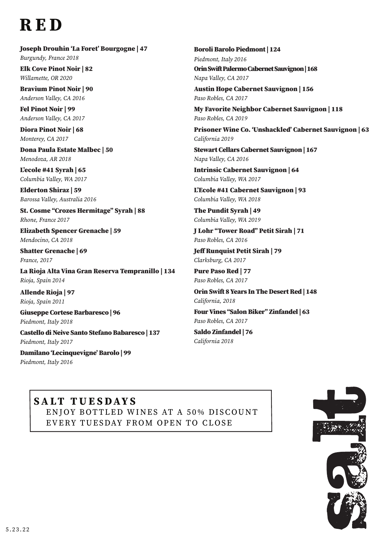## RED

## Joseph Drouhin 'La Foret' Bourgogne | 47

*Burgundy, France 2018* Elk Cove Pinot Noir | 82

*Willamette, OR 2020*

Bravium Pinot Noir | 90 *Anderson Valley, CA 2016*

Fel Pinot Noir | 99 *Anderson Valley, CA 2017*

Diora Pinot Noir | 68 *Monterey, CA 2017*

Dona Paula Estate Malbec | 50 *Menodoza, AR 2018*

L'ecole #41 Syrah | 65 *Columbia Valley, WA 2017*

Elderton Shiraz | 59 *Barossa Valley, Australia 2016* 

St. Cosme "Crozes Hermitage" Syrah | 88 *Rhone, France 2017*

Elizabeth Spencer Grenache | 59 *Mendocino, CA 2018* 

Shatter Grenache | 69 *France, 2017*

La Rioja Alta Vina Gran Reserva Tempranillo | 134 *Rioja, Spain 2014*

Allende Rioja | 97 *Rioja, Spain 2011*

Giuseppe Cortese Barbaresco | 96 *Piedmont, Italy 2018*

Castello di Neive Santo Stefano Babaresco | 137 *Piedmont, Italy 2017*

Damilano 'Lecinquevigne' Barolo | 99 *Piedmont, Italy 2016*

Boroli Barolo Piedmont | 124 *Piedmont, Italy 2016* Orin Swift Palermo Cabernet Sauvignon | 168 *Napa Valley, CA 2017*

Austin Hope Cabernet Sauvignon | 156 *Paso Robles, CA 2017*

My Favorite Neighbor Cabernet Sauvignon | 118 *Paso Robles, CA 2019*

Prisoner Wine Co. 'Unshackled' Cabernet Sauvignon | 63 *California 2019*

Stewart Cellars Cabernet Sauvignon | 167 *Napa Valley, CA 2016*

Intrinsic Cabernet Sauvignon | 64 *Columbia Valley, WA 2017*

L'Ecole #41 Cabernet Sauvignon | 93 *Columbia Valley, WA 2018*

The Pundit Syrah | 49 *Columbia Valley, WA 2019*

J Lohr "Tower Road" Petit Sirah | 71 *Paso Robles, CA 2016*

Jeff Runquist Petit Sirah | 79 *Clarksburg, CA 2017*

Pure Paso Red | 77 *Paso Robles, CA 2017*

Orin Swift 8 Years In The Desert Red | 148 *California, 2018*

Four Vines "Salon Biker" Zinfandel | 63 *Paso Robles, CA 2017* 

Saldo Zinfandel | 76 *California 2018* 

## SALT TUESDAYS ENJOY BOTTLED WINES AT A 50% DISCOUNT EVERY TUESDAY FROM OPEN TO CLOSE